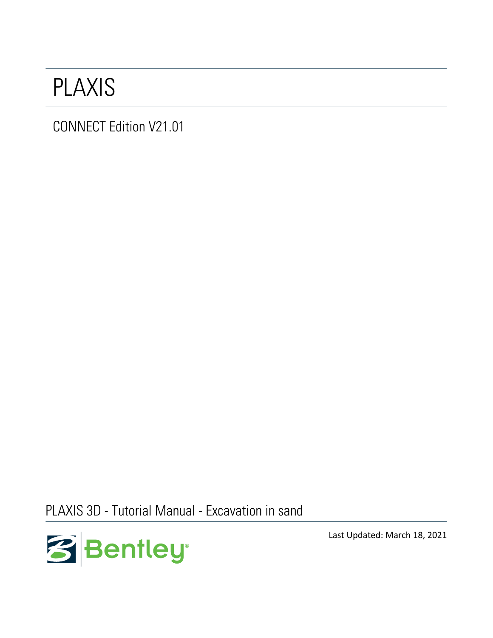## PLAXIS

CONNECT Edition V21.01

PLAXIS 3D - Tutorial Manual - Excavation in sand



Last Updated: March 18, 2021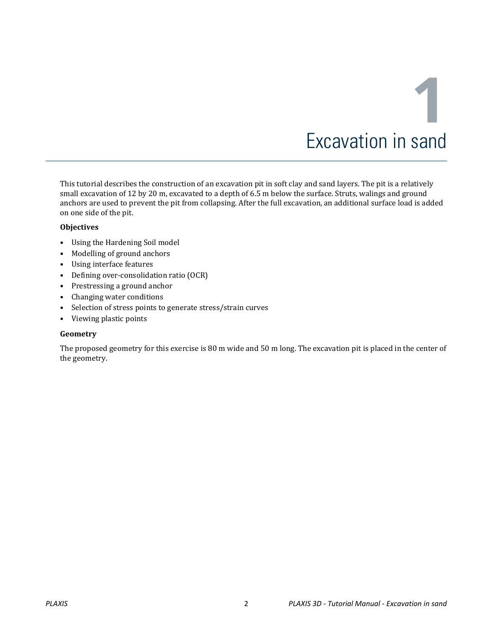# **1** Excavation in sand

This tutorial describes the construction of an excavation pit in soft clay and sand layers. The pit is a relatively small excavation of 12 by 20 m, excavated to a depth of 6.5 m below the surface. Struts, walings and ground anchors are used to prevent the pit from collapsing. After the full excavation, an additional surface load is added on one side of the pit.

#### **Objectives**

- Using the Hardening Soil model
- Modelling of ground anchors
- Using interface features
- Defining over-consolidation ratio (OCR)
- Prestressing a ground anchor
- Changing water conditions
- Selection of stress points to generate stress/strain curves
- Viewing plastic points

#### **Geometry**

The proposed geometry for this exercise is 80 m wide and 50 m long. The excavation pit is placed in the center of the geometry.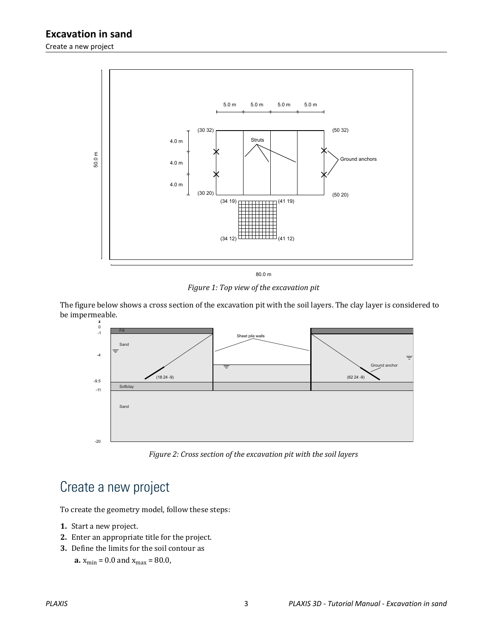

*Figure 1: Top view of the excavation pit*

The figure below shows a cross section of the excavation pit with the soil layers. The clay layer is considered to be impermeable.



*Figure 2: Cross section of the excavation pit with the soil layers*

## Create a new project

To create the geometry model, follow these steps:

- **1.** Start a new project.
- **2.** Enter an appropriate title for the project.
- **3.** Define the limits for the soil contour as

**a.**  $x_{\text{min}} = 0.0$  and  $x_{\text{max}} = 80.0$ ,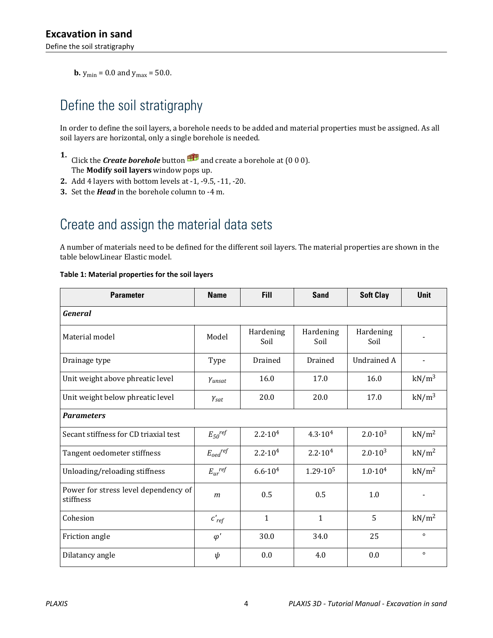<span id="page-3-0"></span>**b.**  $y_{\text{min}} = 0.0$  and  $y_{\text{max}} = 50.0$ .

## Define the soil stratigraphy

In order to define the soil layers, a borehole needs to be added and material properties must be assigned. As all soil layers are horizontal, only a single borehole is needed.

- **1.** Click the **Create borehole** button  $\mathbf{H}$  and create a borehole at (0 0 0). The **Modify soil layers** window pops up.
- **2.** Add 4 layers with bottom levels at -1, -9.5, -11, -20.
- **3.** Set the *Head* in the borehole column to -4 m.

## Create and assign the material data sets

A number of materials need to be defined for the different soil layers. The material properties are shown in the table belowLinear Elastic model.

| <b>Parameter</b>                                  | <b>Name</b>             | <b>Fill</b>        | <b>Sand</b>        | <b>Soft Clay</b>   | <b>Unit</b>       |  |
|---------------------------------------------------|-------------------------|--------------------|--------------------|--------------------|-------------------|--|
| <b>General</b>                                    |                         |                    |                    |                    |                   |  |
| Material model                                    | Model                   | Hardening<br>Soil  | Hardening<br>Soil  | Hardening<br>Soil  |                   |  |
| Drainage type                                     | Type                    | Drained            | Drained            | <b>Undrained A</b> | -                 |  |
| Unit weight above phreatic level                  | Yunsat                  | 16.0               | 17.0               | 16.0               | $kN/m^3$          |  |
| Unit weight below phreatic level                  | $\gamma_{\text{sat}}$   | 20.0               | 20.0               | 17.0               | kN/m <sup>3</sup> |  |
| <b>Parameters</b>                                 |                         |                    |                    |                    |                   |  |
| Secant stiffness for CD triaxial test             | $E_{50}$ ref            | $2.2 \cdot 10^{4}$ | $4.3 \cdot 10^{4}$ | $2.0 \cdot 10^{3}$ | kN/m <sup>2</sup> |  |
| Tangent oedometer stiffness                       | $E_{oed}$ ref           | $2.2 \cdot 10^{4}$ | $2.2 \cdot 10^{4}$ | $2.0 \cdot 10^{3}$ | kN/m <sup>2</sup> |  |
| Unloading/reloading stiffness                     | $E_{ur}$ <sup>ref</sup> | $6.6 \cdot 10^{4}$ | $1.29 \cdot 10^5$  | $1.0 \cdot 10^{4}$ | kN/m <sup>2</sup> |  |
| Power for stress level dependency of<br>stiffness | $\boldsymbol{m}$        | 0.5                | 0.5                | 1.0                |                   |  |
| Cohesion                                          | $c'_{ref}$              | $\mathbf{1}$       | $\mathbf{1}$       | 5                  | kN/m <sup>2</sup> |  |
| Friction angle                                    | $\varphi'$              | 30.0               | 34.0               | 25                 | $\circ$           |  |
| Dilatancy angle                                   | ψ                       | 0.0                | 4.0                | 0.0                | $\circ$           |  |

#### **Table 1: Material properties for the soil layers**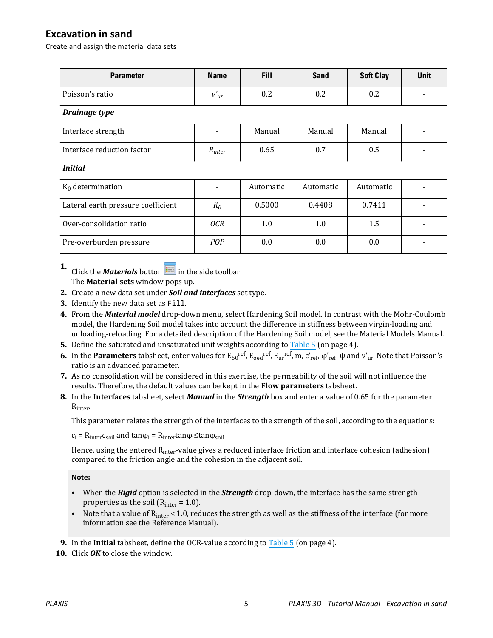#### **Excavation in sand**

Create and assign the material data sets

| <b>Parameter</b>                   | <b>Name</b>    | <b>Fill</b> | <b>Sand</b> | <b>Soft Clay</b> | <b>Unit</b>              |  |
|------------------------------------|----------------|-------------|-------------|------------------|--------------------------|--|
| Poisson's ratio                    | $v'_{ur}$      | 0.2         | 0.2         | 0.2              | $\overline{\phantom{a}}$ |  |
| Drainage type                      |                |             |             |                  |                          |  |
| Interface strength                 |                | Manual      | Manual      | Manual           |                          |  |
| Interface reduction factor         | $R_{inter}$    | 0.65        | 0.7         | 0.5              | $\blacksquare$           |  |
| <i>Initial</i>                     |                |             |             |                  |                          |  |
| $K_0$ determination                | $\overline{a}$ | Automatic   | Automatic   | Automatic        |                          |  |
| Lateral earth pressure coefficient | $K_0$          | 0.5000      | 0.4408      | 0.7411           |                          |  |
| Over-consolidation ratio           | OCR            | 1.0         | 1.0         | 1.5              |                          |  |
| Pre-overburden pressure            | POP            | 0.0         | 0.0         | 0.0              |                          |  |

**1.** Click the *Materials* button  $\mathbf{I}$  in the side toolbar. The **Material sets** window pops up.

- **2.** Create a new data set under *Soil and interfaces* set type.
- **3.** Identify the new data set as Fill.
- **4.** From the *Material model* drop-down menu, select Hardening Soil model. In contrast with the Mohr-Coulomb model, the Hardening Soil model takes into account the difference in stiffness between virgin-loading and unloading-reloading. For a detailed description of the Hardening Soil model, see the Material Models Manual.
- **5.** Define the saturated and unsaturated unit weights according to [Table 5](#page-3-0) (on page 4).
- **6.** In the **Parameters** tabsheet, enter values for  $E_{50}^{ref}$ ,  $E_{oed}^{ref}$ ,  $E_{ur}^{ref}$ ,  $m$ ,  $c'_{ref}$ ,  $\varphi'_{ref}$ ,  $\psi$  and  $v'_{ur}$ . Note that Poisson's ratio is an advanced parameter.
- **7.** As no consolidation will be considered in this exercise, the permeability of the soil will not influence the results. Therefore, the default values can be kept in the **Flow parameters** tabsheet.
- **8.** In the **Interfaces** tabsheet, select *Manual* in the *Strength* box and enter a value of 0.65 for the parameter Rinter.

This parameter relates the strength of the interfaces to the strength of the soil, according to the equations:

 $c_i = R_{inter}c_{soil}$  and tan $\varphi_i = R_{inter}tan\varphi_i$  stan $\varphi_{soil}$ 

Hence, using the entered R<sub>inter</sub>-value gives a reduced interface friction and interface cohesion (adhesion) compared to the friction angle and the cohesion in the adjacent soil.

#### **Note:**

- When the *Rigid* option is selected in the *Strength* drop-down, the interface has the same strength properties as the soil  $(R<sub>inter</sub> = 1.0)$ .
- Note that a value of  $R<sub>inter</sub> < 1.0$ , reduces the strength as well as the stiffness of the interface (for more information see the Reference Manual).
- **9.** In the **Initial** tabsheet, define the OCR-value according to [Table 5](#page-3-0) (on page 4).
- **10.** Click *OK* to close the window.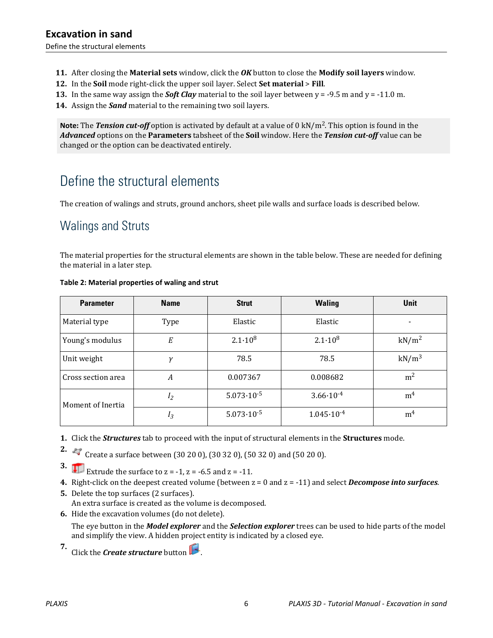- <span id="page-5-0"></span>**11.** After closing the **Material sets** window, click the *OK* button to close the **Modify soil layers** window.
- **12.** In the **Soil** mode right-click the upper soil layer. Select **Set material** > **Fill**.
- **13.** In the same way assign the *Soft Clay* material to the soil layer between  $y = -9.5$  m and  $y = -11.0$  m.
- **14.** Assign the *Sand* material to the remaining two soil layers.

**Note:** The *Tension cut-off* option is activated by default at a value of 0 kN/m<sup>2</sup> . This option is found in the *Advanced* options on the **Parameters** tabsheet of the **Soil** window. Here the *Tension cut-off* value can be changed or the option can be deactivated entirely.

## Define the structural elements

The creation of walings and struts, ground anchors, sheet pile walls and surface loads is described below.

## Walings and Struts

The material properties for the structural elements are shown in the table below. These are needed for defining the material in a later step.

| <b>Parameter</b>   | <b>Name</b> | <b>Strut</b>          | <b>Waling</b>         | Unit              |
|--------------------|-------------|-----------------------|-----------------------|-------------------|
| Material type      | Type        | Elastic               | Elastic               |                   |
| Young's modulus    | E           | $2.1 \cdot 10^8$      | $2.1 \cdot 10^8$      | kN/m <sup>2</sup> |
| Unit weight        | ν           | 78.5                  | 78.5                  | $kN/m^3$          |
| Cross section area | А           | 0.007367              | 0.008682              | m <sup>2</sup>    |
| Moment of Inertia  | $I_2$       | $5.073 \cdot 10^{-5}$ | $3.66 \cdot 10^{-4}$  | m <sup>4</sup>    |
|                    | $I_3$       | $5.073 \cdot 10^{-5}$ | $1.045 \cdot 10^{-4}$ | m <sup>4</sup>    |

#### **Table 2: Material properties of waling and strut**

**1.** Click the *Structures* tab to proceed with the input of structural elements in the **Structures** mode.

**2.**  $\leftrightarrow$  Create a surface between (30 20 0), (30 32 0), (50 32 0) and (50 20 0).

**3. Extrude the surface to**  $z = -1$ **,**  $z = -6.5$  **and**  $z = -11$ **.** 

**4.** Right-click on the deepest created volume (between z = 0 and z = -11) and select *Decompose into surfaces*.

- **5.** Delete the top surfaces (2 surfaces). An extra surface is created as the volume is decomposed.
- **6.** Hide the excavation volumes (do not delete).

The eye button in the *Model explorer* and the *Selection explorer* trees can be used to hide parts of the model and simplify the view. A hidden project entity is indicated by a closed eye.

**7.** Click the *Create structure* button .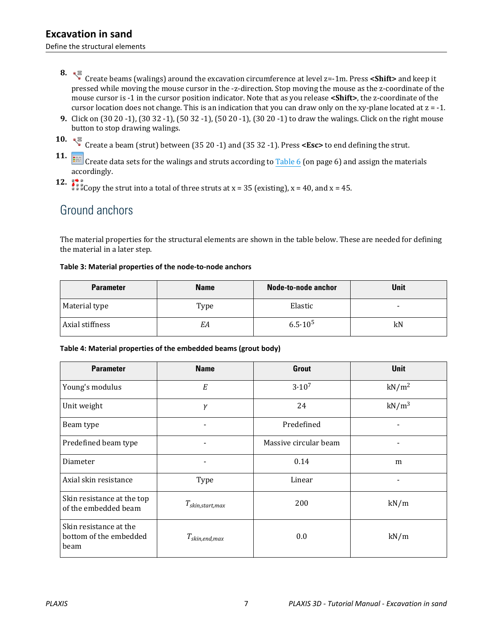<span id="page-6-0"></span>Define the structural elements

- **8.** Create beams (walings) around the excavation circumference at level z=-1m. Press **<Shift>** and keep it pressed while moving the mouse cursor in the -z-direction. Stop moving the mouse as the z-coordinate of the mouse cursor is -1 in the cursor position indicator. Note that as you release **<Shift>**, the z-coordinate of the cursor location does not change. This is an indication that you can draw only on the xy-plane located at  $z = -1$ .
- **9.** Click on (30 20 -1), (30 32 -1), (50 32 -1), (50 20 -1), (30 20 -1) to draw the walings. Click on the right mouse button to stop drawing walings.
- **10.**  $\sqrt{\frac{25}{3}}$  Create a beam (strut) between (35 20 -1) and (35 32 -1). Press **<Esc>** to end defining the strut.
- **11. Consent a** Create data sets for the walings and struts according to [Table 6](#page-5-0) (on page 6) and assign the materials accordingly.
- 
- **12.**  $\frac{1}{2}$   $\frac{1}{2}$  Copy the strut into a total of three struts at x = 35 (existing), x = 40, and x = 45.

### Ground anchors

The material properties for the structural elements are shown in the table below. These are needed for defining the material in a later step.

#### **Table 3: Material properties of the node-to-node anchors**

| <b>Parameter</b> | <b>Name</b> | Node-to-node anchor | <b>Unit</b>              |
|------------------|-------------|---------------------|--------------------------|
| Material type    | Type        | Elastic             | $\overline{\phantom{0}}$ |
| Axial stiffness  | EΑ          | $6.5 \cdot 10^5$    | kN                       |

#### **Table 4: Material properties of the embedded beams (grout body)**

| <b>Parameter</b>                                         | <b>Name</b>              | <b>Grout</b>          | <b>Unit</b>       |
|----------------------------------------------------------|--------------------------|-----------------------|-------------------|
| Young's modulus                                          | E                        | $3.10^{7}$            | kN/m <sup>2</sup> |
| Unit weight                                              | γ                        | 24                    | $kN/m^3$          |
| Beam type                                                |                          | Predefined            |                   |
| Predefined beam type                                     | $\overline{\phantom{0}}$ | Massive circular beam |                   |
| Diameter                                                 |                          | 0.14                  | m                 |
| Axial skin resistance                                    | Type                     | Linear                |                   |
| Skin resistance at the top<br>of the embedded beam       | $T_{skin,start,max}$     | 200                   | kN/m              |
| Skin resistance at the<br>bottom of the embedded<br>beam | $T_{skin,end,max}$       | 0.0                   | kN/m              |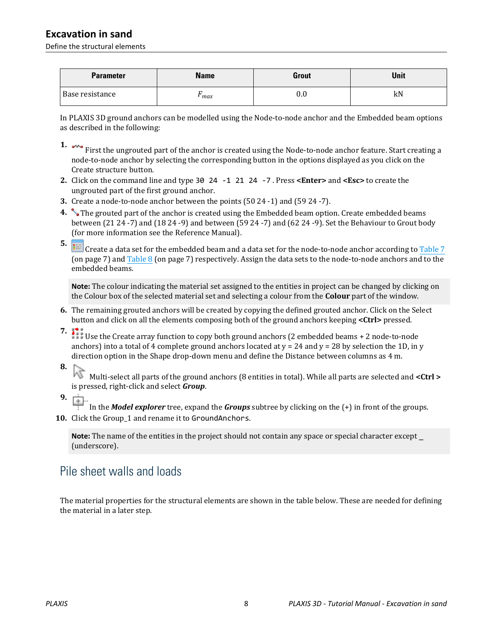#### **Excavation in sand**

Define the structural elements

| <b>Parameter</b> | <b>Name</b> | <b>Grout</b> | Unit |
|------------------|-------------|--------------|------|
| Base resistance  | max         | $\rm 0.0$    | kN   |

In PLAXIS 3D ground anchors can be modelled using the Node-to-node anchor and the Embedded beam options as described in the following:

- **1.**  $\sim$  First the ungrouted part of the anchor is created using the Node-to-node anchor feature. Start creating a node-to-node anchor by selecting the corresponding button in the options displayed as you click on the Create structure button.
- **2.** Click on the command line and type 30 24 -1 21 24 -7 . Press **<Enter>** and **<Esc>** to create the ungrouted part of the first ground anchor.
- **3.** Create a node-to-node anchor between the points (50 24 -1) and (59 24 -7).
- **4.** The grouted part of the anchor is created using the Embedded beam option. Create embedded beams between (21 24 -7) and (18 24 -9) and between (59 24 -7) and (62 24 -9). Set the Behaviour to Grout body (for more information see the Reference Manual).

**5. Example 2** Create a data set for the embedded beam and a data set for the node-to-node anchor according to [Table 7](#page-6-0) (on page 7) and [Table 8](#page-6-0) (on page 7) respectively. Assign the data sets to the node-to-node anchors and to the embedded beams.

**Note:** The colour indicating the material set assigned to the entities in project can be changed by clicking on the Colour box of the selected material set and selecting a colour from the **Colour** part of the window.

- **6.** The remaining grouted anchors will be created by copying the defined grouted anchor. Click on the Select button and click on all the elements composing both of the ground anchors keeping **<Ctrl>** pressed.
- 

**7. 12** Use the Create array function to copy both ground anchors (2 embedded beams + 2 node-to-node anchors) into a total of 4 complete ground anchors located at  $y = 24$  and  $y = 28$  by selection the 1D, in y direction option in the Shape drop-down menu and define the Distance between columns as 4 m.

**8.**

 Multi-select all parts of the ground anchors (8 entities in total). While all parts are selected and **<Ctrl >** is pressed, right-click and select *Group*.

**9.**

In the *Model explorer* tree, expand the *Groups* subtree by clicking on the (+) in front of the groups.

**10.** Click the Group\_1 and rename it to GroundAnchors.

**Note:** The name of the entities in the project should not contain any space or special character except \_ (underscore).

## Pile sheet walls and loads

The material properties for the structural elements are shown in the table below. These are needed for defining the material in a later step.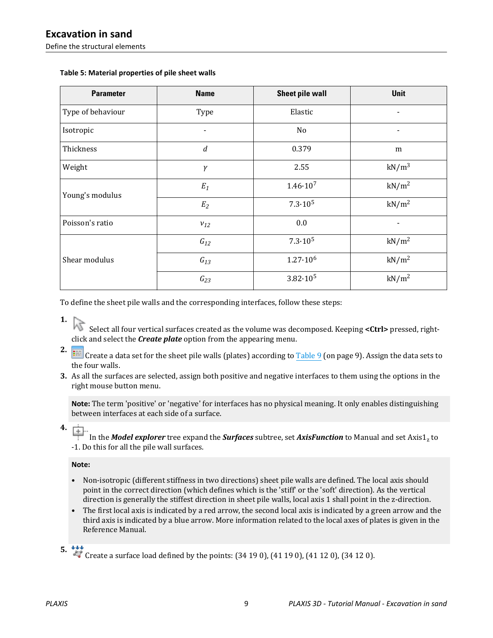| <b>Parameter</b>  | <b>Name</b>              | <b>Sheet pile wall</b> | <b>Unit</b>       |
|-------------------|--------------------------|------------------------|-------------------|
| Type of behaviour | Type                     | Elastic                | ٠                 |
| Isotropic         | $\overline{\phantom{0}}$ | No                     | $\blacksquare$    |
| Thickness         | $\boldsymbol{d}$         | 0.379                  | m                 |
| Weight            | $\gamma$                 | 2.55                   | $kN/m^3$          |
| Young's modulus   | $E_1$                    | $1.46 \cdot 10^{7}$    | kN/m <sup>2</sup> |
|                   | $E_2$                    | $7.3 \cdot 10^5$       | kN/m <sup>2</sup> |
| Poisson's ratio   | $v_{12}$                 | 0.0                    |                   |
| Shear modulus     | $G_{12}$                 | $7.3 \cdot 10^5$       | kN/m <sup>2</sup> |
|                   | $G_{13}$                 | $1.27 \cdot 10^6$      | kN/m <sup>2</sup> |
|                   | $G_{23}$                 | $3.82 \cdot 10^5$      | kN/m <sup>2</sup> |

#### **Table 5: Material properties of pile sheet walls**

To define the sheet pile walls and the corresponding interfaces, follow these steps:

**1.**

**2.**

 Select all four vertical surfaces created as the volume was decomposed. Keeping **<Ctrl>** pressed, rightclick and select the *Create plate* option from the appearing menu.

- Create a data set for the sheet pile walls (plates) according to **Table 9** (on page 9). Assign the data sets to the four walls.
- **3.** As all the surfaces are selected, assign both positive and negative interfaces to them using the options in the right mouse button menu.

**Note:** The term 'positive' or 'negative' for interfaces has no physical meaning. It only enables distinguishing between interfaces at each side of a surface.

**4.**

In the *Model explorer* tree expand the *Surfaces* subtree, set *AxisFunction* to Manual and set Axis1<sub>z</sub> to -1. Do this for all the pile wall surfaces.

#### **Note:**

- Non-isotropic (different stiffness in two directions) sheet pile walls are defined. The local axis should point in the correct direction (which defines which is the 'stiff' or the 'soft' direction). As the vertical direction is generally the stiffest direction in sheet pile walls, local axis 1 shall point in the z-direction.
- The first local axis is indicated by a red arrow, the second local axis is indicated by a green arrow and the third axis is indicated by a blue arrow. More information related to the local axes of plates is given in the Reference Manual.

**5. Create a surface load defined by the points:** (34 19 0), (41 19 0), (41 12 0), (34 12 0).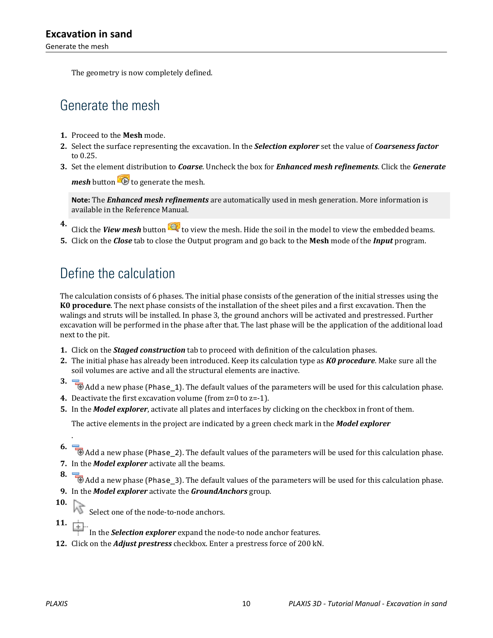The geometry is now completely defined.

## Generate the mesh

- **1.** Proceed to the **Mesh** mode.
- **2.** Select the surface representing the excavation. In the *Selection explorer* set the value of *Coarseness factor* to 0.25.
- **3.** Set the element distribution to *Coarse*. Uncheck the box for *Enhanced mesh refinements*. Click the *Generate mesh* button  $\bullet$  to generate the mesh.

**Note:** The *Enhanced mesh refinements* are automatically used in mesh generation. More information is available in the Reference Manual.

- **4.** Click the *View mesh* button **the state of view** the mesh. Hide the soil in the model to view the embedded beams.
- **5.** Click on the *Close* tab to close the Output program and go back to the **Mesh** mode of the *Input* program.

## Define the calculation

The calculation consists of 6 phases. The initial phase consists of the generation of the initial stresses using the **K0 procedure**. The next phase consists of the installation of the sheet piles and a first excavation. Then the walings and struts will be installed. In phase 3, the ground anchors will be activated and prestressed. Further excavation will be performed in the phase after that. The last phase will be the application of the additional load next to the pit.

- **1.** Click on the *Staged construction* tab to proceed with definition of the calculation phases.
- **2.** The initial phase has already been introduced. Keep its calculation type as *K0 procedure*. Make sure all the soil volumes are active and all the structural elements are inactive.
- **3.**  $\Box$  Add a new phase (Phase\_1). The default values of the parameters will be used for this calculation phase.
- **4.** Deactivate the first excavation volume (from z=0 to z=-1).
- **5.** In the *Model explorer*, activate all plates and interfaces by clicking on the checkbox in front of them.

The active elements in the project are indicated by a green check mark in the *Model explorer*

**6.** Add a new phase (Phase\_2). The default values of the parameters will be used for this calculation phase. **7.** In the *Model explorer* activate all the beams.

**8.**  $\overline{\bullet}$  Add a new phase (Phase\_3). The default values of the parameters will be used for this calculation phase. **9.** In the *Model explorer* activate the *GroundAnchors* group.

**10.**

.

- Select one of the node-to-node anchors.
- **11.**
	- In the *Selection explorer* expand the node-to node anchor features.
- **12.** Click on the *Adjust prestress* checkbox. Enter a prestress force of 200 kN.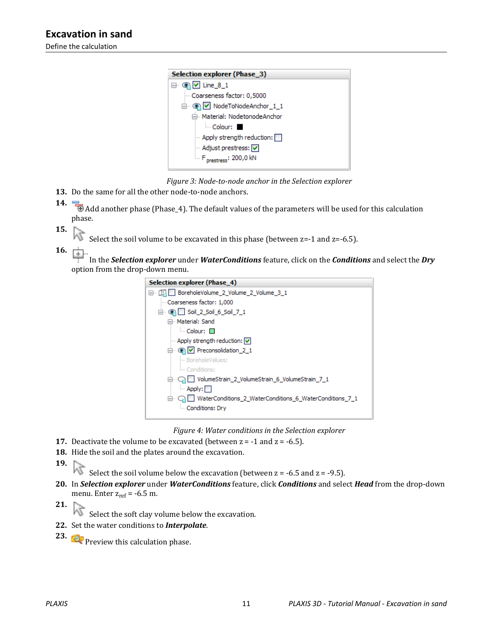



- **13.** Do the same for all the other node-to-node anchors.
- **14. Addem and another phase (Phase\_4).** The default values of the parameters will be used for this calculation phase.
- **15.**
	- Select the soil volume to be excavated in this phase (between  $z=$ -1 and  $z=$ -6.5).
- 16.  $\frac{1}{2}$

 In the *Selection explorer* under *WaterConditions* feature, click on the *Conditions* and select the *Dry* option from the drop-down menu.



*Figure 4: Water conditions in the Selection explorer*

- **17.** Deactivate the volume to be excavated (between  $z = -1$  and  $z = -6.5$ ).
- **18.** Hide the soil and the plates around the excavation.
- **19.**

Select the soil volume below the excavation (between  $z = -6.5$  and  $z = -9.5$ ).

- **20.** In *Selection explorer* under *WaterConditions* feature, click *Conditions* and select *Head* from the drop-down menu. Enter  $z_{ref} = -6.5$  m.
- **21.** ΜÇ

Select the soft clay volume below the excavation.

- **22.** Set the water conditions to *Interpolate*.
- **23. Preview this calculation phase.**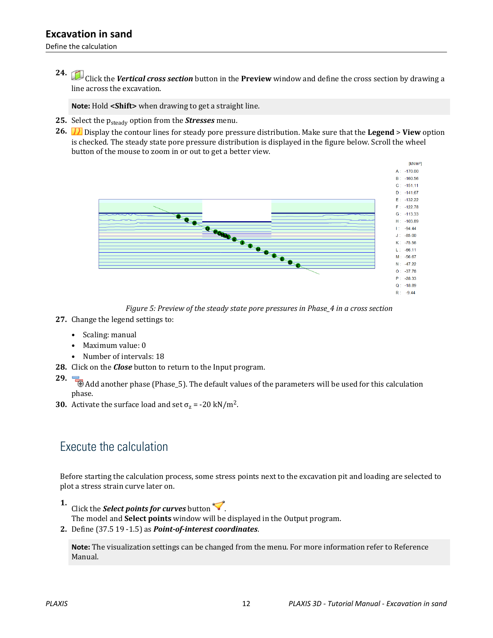Define the calculation

**24.** Click the *Vertical cross section* button in the **Preview** window and define the cross section by drawing a line across the excavation.

**Note:** Hold **<Shift>** when drawing to get a straight line.

- 25. Select the p<sub>steady</sub> option from the *Stresses* menu.
- **26.** Display the contour lines for steady pore pressure distribution. Make sure that the **Legend** > **View** option is checked. The steady state pore pressure distribution is displayed in the figure below. Scroll the wheel button of the mouse to zoom in or out to get a better view.



*Figure 5: Preview of the steady state pore pressures in Phase\_4 in a cross section*

- **27.** Change the legend settings to:
	- Scaling: manual
	- Maximum value: 0
	- Number of intervals: 18
- **28.** Click on the *Close* button to return to the Input program.
- 

**29.** Add another phase (Phase\_5). The default values of the parameters will be used for this calculation phase.

**30.** Activate the surface load and set  $\sigma_z$  = -20 kN/m<sup>2</sup>.

## Execute the calculation

Before starting the calculation process, some stress points next to the excavation pit and loading are selected to plot a stress strain curve later on.

- **1.** Click the *Select points for curves* button  $\blacktriangledown$ . The model and **Select points** window will be displayed in the Output program.
- **2.** Define (37.5 19 -1.5) as *Point-of-interest coordinates*.

**Note:** The visualization settings can be changed from the menu. For more information refer to Reference Manual.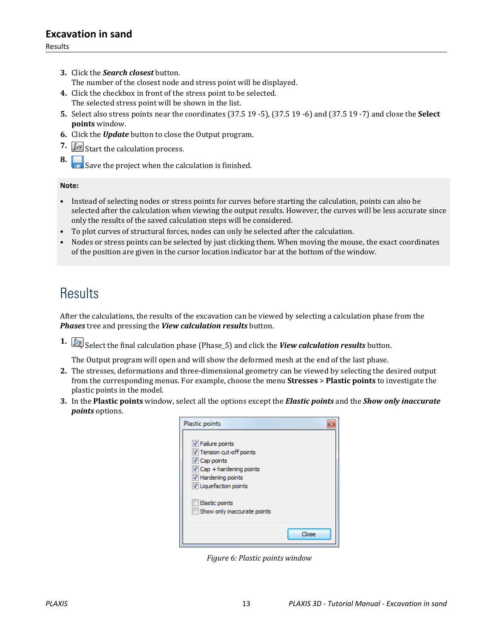- **3.** Click the *Search closest* button. The number of the closest node and stress point will be displayed.
- **4.** Click the checkbox in front of the stress point to be selected. The selected stress point will be shown in the list.
- **5.** Select also stress points near the coordinates (37.5 19 -5), (37.5 19 -6) and (37.5 19 -7) and close the **Select points** window.
- **6.** Click the *Update* button to close the Output program.
- **7.**  $\int dV$  Start the calculation process.
- **8.** Save the project when the calculation is finished.

#### **Note:**

- Instead of selecting nodes or stress points for curves before starting the calculation, points can also be selected after the calculation when viewing the output results. However, the curves will be less accurate since only the results of the saved calculation steps will be considered.
- To plot curves of structural forces, nodes can only be selected after the calculation.
- Nodes or stress points can be selected by just clicking them. When moving the mouse, the exact coordinates of the position are given in the cursor location indicator bar at the bottom of the window.

## **Results**

After the calculations, the results of the excavation can be viewed by selecting a calculation phase from the *Phases* tree and pressing the *View calculation results* button.

**1.** Select the final calculation phase (Phase<sub>-5</sub>) and click the *View calculation results* button.

The Output program will open and will show the deformed mesh at the end of the last phase.

- **2.** The stresses, deformations and three-dimensional geometry can be viewed by selecting the desired output from the corresponding menus. For example, choose the menu **Stresses** > **Plastic points** to investigate the plastic points in the model.
- **3.** In the **Plastic points** window, select all the options except the *Elastic points* and the *Show only inaccurate points* options.



*Figure 6: Plastic points window*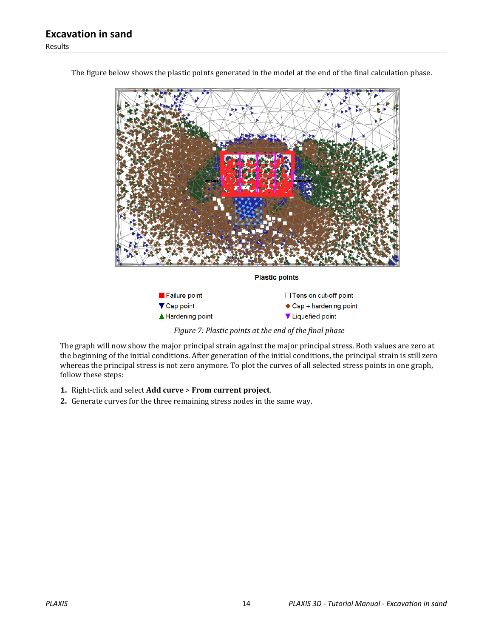

The figure below shows the plastic points generated in the model at the end of the final calculation phase.

*Figure 7: Plastic points at the end of the final phase*

The graph will now show the major principal strain against the major principal stress. Both values are zero at the beginning of the initial conditions. After generation of the initial conditions, the principal strain is still zero whereas the principal stress is not zero anymore. To plot the curves of all selected stress points in one graph, follow these steps:

- **1.** Right-click and select **Add curve** > **From current project**.
- **2.** Generate curves for the three remaining stress nodes in the same way.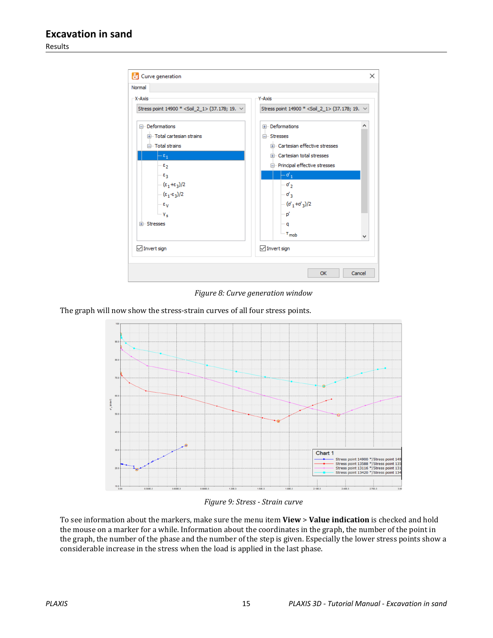Results



*Figure 8: Curve generation window*

The graph will now show the stress-strain curves of all four stress points.



*Figure 9: Stress - Strain curve*

To see information about the markers, make sure the menu item **View** > **Value indication** is checked and hold the mouse on a marker for a while. Information about the coordinates in the graph, the number of the point in the graph, the number of the phase and the number of the step is given. Especially the lower stress points show a considerable increase in the stress when the load is applied in the last phase.